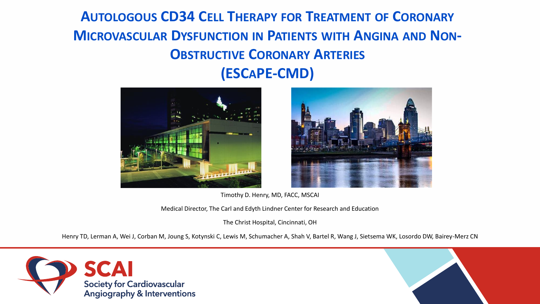#### **AUTOLOGOUS CD34 CELL THERAPY FOR TREATMENT OF CORONARY MICROVASCULAR DYSFUNCTION IN PATIENTS WITH ANGINA AND NON-OBSTRUCTIVE CORONARY ARTERIES (ESCAPE-CMD)**





Timothy D. Henry, MD, FACC, MSCAI

Medical Director, The Carl and Edyth Lindner Center for Research and Education

The Christ Hospital, Cincinnati, OH

Henry TD, Lerman A, Wei J, Corban M, Joung S, Kotynski C, Lewis M, Schumacher A, Shah V, Bartel R, Wang J, Sietsema WK, Losordo DW, Bairey-Merz CN



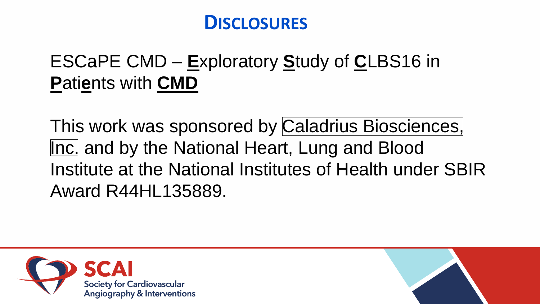# **DISCLOSURES**

# **ESCaPE CMD – Exploratory Study of CLBS16 in Patients with CMD**

This work was sponsored by Caladrius Biosciences, Inc. and by the National Heart, Lung and Blood Institute at the National Institutes of Health under SBIR **Award R44HL135889.** 



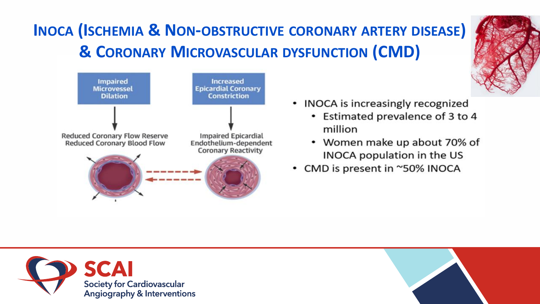# **INOCA (ISCHEMIA & NON-OBSTRUCTIVE CORONARY ARTERY DISEASE)** & CORONARY MICROVASCULAR DYSFUNCTION (CMD)



- INOCA is increasingly recognized
	- Estimated prevalence of 3 to 4 million
	- Women make up about 70% of INOCA population in the US
- CMD is present in ~50% INOCA



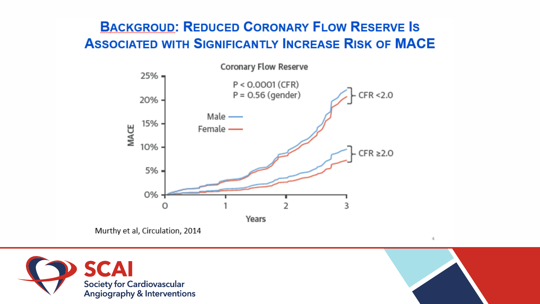#### **BACKGROUD: REDUCED CORONARY FLOW RESERVE IS ASSOCIATED WITH SIGNIFICANTLY INCREASE RISK OF MACE**



Murthy et al, Circulation, 2014





4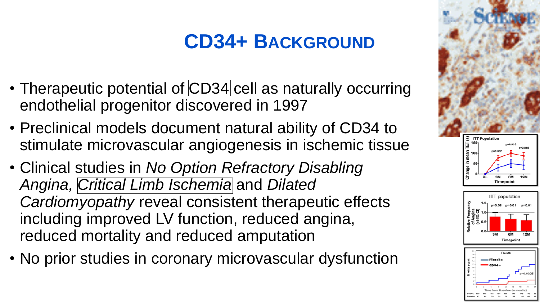# **CD34+ BACKGROUND**

- Therapeutic potential of [CD34](https://www.caladrius.com/cell-therapy-research/cd34-cell-technology/) cell as naturally occurring endothelial progenitor discovered in 1997
- Preclinical models document natural ability of CD34 to stimulate microvascular angiogenesis in ischemic tissue
- Clinical studies in *No Option Refractory Disabling Angina, [Critical Limb Ischemia](https://www.caladrius.com/cd34-cell-therapy-pipeline/critical-limb-ischemia-cli-honedra-clbs12/)* and *Dilated Cardiomyopathy* reveal consistent therapeutic effects including improved LV function, reduced angina, reduced mortality and reduced amputation
- No prior studies in coronary microvascular dysfunction

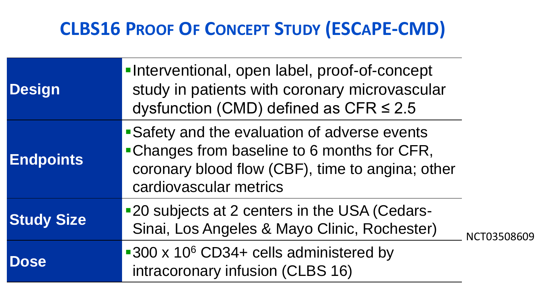# **CLBS16 PROOF OF CONCEPT STUDY (ESCAPE-CMD)**

| <b>Design</b>     | -Interventional, open label, proof-of-concept<br>study in patients with coronary microvascular<br>dysfunction (CMD) defined as CFR $\leq$ 2.5                               |             |  |
|-------------------|-----------------------------------------------------------------------------------------------------------------------------------------------------------------------------|-------------|--|
| <b>Endpoints</b>  | • Safety and the evaluation of adverse events<br>• Changes from baseline to 6 months for CFR,<br>coronary blood flow (CBF), time to angina; other<br>cardiovascular metrics |             |  |
| <b>Study Size</b> | ■20 subjects at 2 centers in the USA (Cedars-<br>Sinai, Los Angeles & Mayo Clinic, Rochester)                                                                               | NCT03508609 |  |
| <b>Dose</b>       | ■300 x 10 <sup>6</sup> CD34+ cells administered by<br>intracoronary infusion (CLBS 16)                                                                                      |             |  |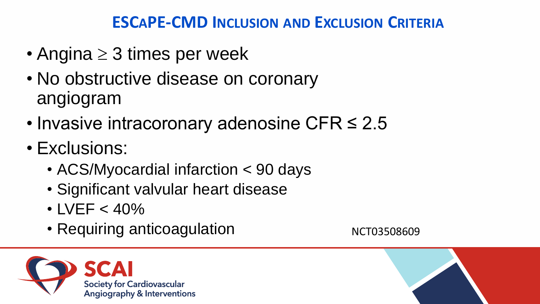#### **ESCAPE-CMD INCLUSION AND EXCLUSION CRITERIA**

- Angina  $\geq 3$  times per week
- No obstructive disease on coronary angiogram
- Invasive intracoronary adenosine CFR ≤ 2.5
- Exclusions:
	- ACS/Myocardial infarction < 90 days
	- Significant valvular heart disease
	- $\cdot$  LVEF  $<$  40%
	- Requiring anticoagulation NCT03508609



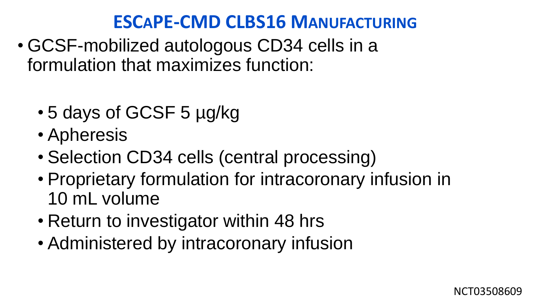# **ESCAPE-CMD CLBS16 MANUFACTURING**

- GCSF-mobilized autologous CD34 cells in a formulation that maximizes function:
	- 5 days of GCSF 5 µg/kg
	- Apheresis
	- Selection CD34 cells (central processing)
	- Proprietary formulation for intracoronary infusion in 10 mL volume
	- Return to investigator within 48 hrs
	- Administered by intracoronary infusion

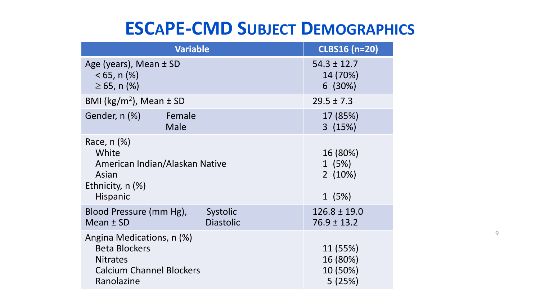### **ESCAPE-CMD SUBJECT DEMOGRAPHICS**

| <b>Variable</b>                                                                                                       | <b>CLBS16 (n=20)</b>                  |                                            |
|-----------------------------------------------------------------------------------------------------------------------|---------------------------------------|--------------------------------------------|
| Age (years), Mean ± SD<br>$< 65$ , n $(\%)$<br>$\geq 65$ , n (%)                                                      | $54.3 \pm 12.7$<br>14 (70%)<br>6(30%) |                                            |
| BMI ( $\text{kg/m}^2$ ), Mean $\pm$ SD                                                                                | $29.5 \pm 7.3$                        |                                            |
| Gender, n (%)<br>Female<br><b>Male</b>                                                                                |                                       | 17 (85%)<br>3(15%)                         |
| Race, $n$ $(\%)$<br>White<br>American Indian/Alaskan Native<br>Asian<br>Ethnicity, $n$ (%)<br>Hispanic                |                                       | 16 (80%)<br>1(5%)<br>2(10%)<br>1(5%)       |
| Blood Pressure (mm Hg),<br>Mean ± SD                                                                                  | Systolic<br><b>Diastolic</b>          | $126.8 \pm 19.0$<br>$76.9 \pm 13.2$        |
| Angina Medications, n (%)<br><b>Beta Blockers</b><br><b>Nitrates</b><br><b>Calcium Channel Blockers</b><br>Ranolazine |                                       | 11 (55%)<br>16 (80%)<br>10 (50%)<br>5(25%) |

9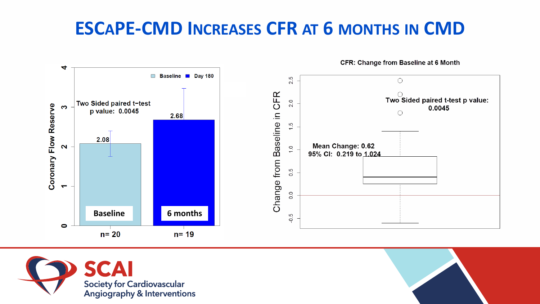# **ESCAPE-CMD INCREASES CFR AT 6 MONTHS IN CMD**





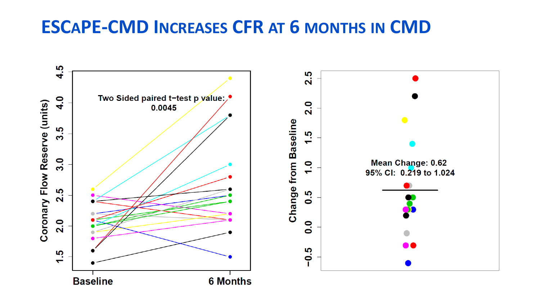#### **ESCAPE-CMD INCREASES CFR AT 6 MONTHS IN CMD**

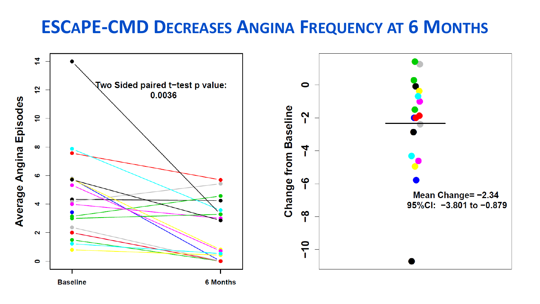#### **ESCAPE-CMD DECREASES ANGINA FREQUENCY AT 6 MONTHS**

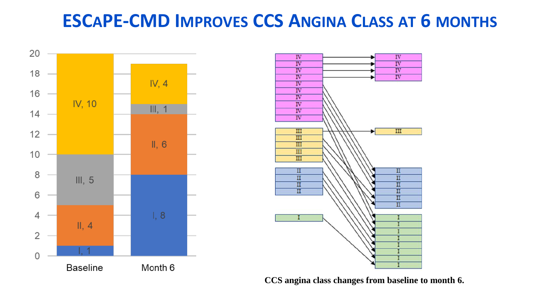### **ESCAPE-CMD IMPROVES CCS ANGINA CLASS AT 6 MONTHS**





**CCS angina class changes from baseline to month 6.**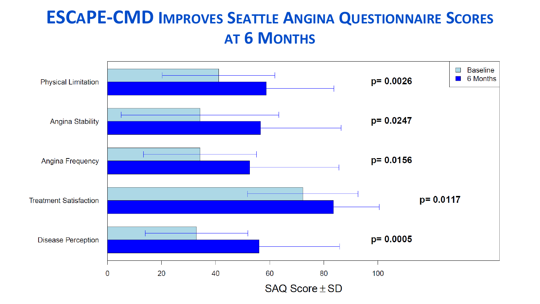#### **ESCAPE-CMD IMPROVES SEATTLE ANGINA QUESTIONNAIRE SCORES AT 6 MONTHS**

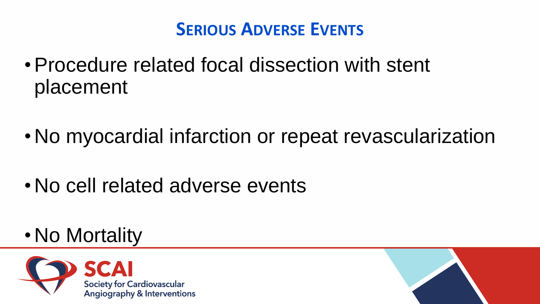# **SERIOUS ADVERSE EVENTS**

- •Procedure related focal dissection with stent placement
- No myocardial infarction or repeat revascularization
- No cell related adverse events
- No Mortality